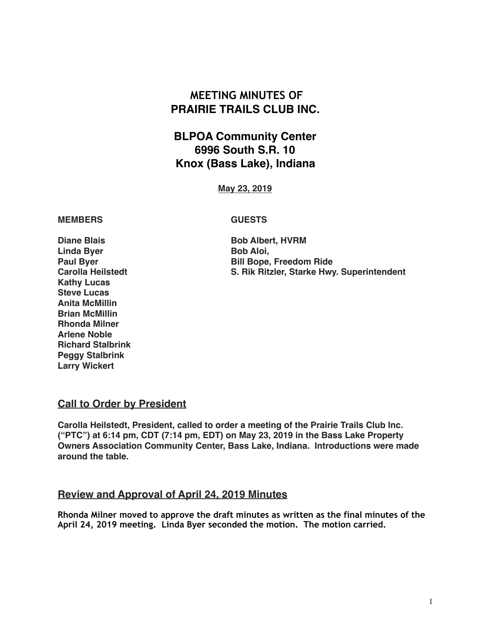# **MEETING MINUTES OF PRAIRIE TRAILS CLUB INC.**

# **BLPOA Community Center 6996 South S.R. 10 Knox (Bass Lake), Indiana**

**May 23, 2019**

## **MEMBERS GUESTS**

**Diane Blais Bob Albert, HVRM Linda Byer Bob Aloi, Kathy Lucas Steve Lucas Anita McMillin Brian McMillin Rhonda Milner Arlene Noble Richard Stalbrink Peggy Stalbrink Larry Wickert**

**Bill Bope, Freedom Ride Carolla Heilstedt S. Rik Ritzler, Starke Hwy. Superintendent**

# **Call to Order by President**

**Carolla Heilstedt, President, called to order a meeting of the Prairie Trails Club Inc. ("PTC") at 6:14 pm, CDT (7:14 pm, EDT) on May 23, 2019 in the Bass Lake Property Owners Association Community Center, Bass Lake, Indiana. Introductions were made around the table.**

# **Review and Approval of April 24, 2019 Minutes**

**Rhonda Milner moved to approve the draft minutes as written as the final minutes of the April 24, 2019 meeting. Linda Byer seconded the motion. The motion carried.**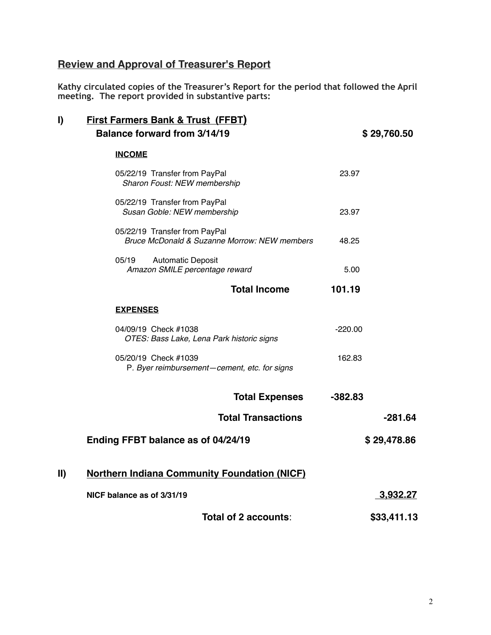# **Review and Approval of Treasurer's Report**

**Kathy circulated copies of the Treasurer's Report for the period that followed the April meeting. The report provided in substantive parts:** 

| I)            | <b>First Farmers Bank &amp; Trust (FFBT)</b>                                  |             |  |  |
|---------------|-------------------------------------------------------------------------------|-------------|--|--|
|               | <b>Balance forward from 3/14/19</b>                                           | \$29,760.50 |  |  |
|               | <b>INCOME</b>                                                                 |             |  |  |
|               | 05/22/19 Transfer from PayPal<br>Sharon Foust: NEW membership                 | 23.97       |  |  |
|               | 05/22/19 Transfer from PayPal<br>Susan Goble: NEW membership                  | 23.97       |  |  |
|               | 05/22/19 Transfer from PayPal<br>Bruce McDonald & Suzanne Morrow: NEW members | 48.25       |  |  |
|               | 05/19<br><b>Automatic Deposit</b><br>Amazon SMILE percentage reward           | 5.00        |  |  |
|               | <b>Total Income</b>                                                           | 101.19      |  |  |
|               | <b>EXPENSES</b>                                                               |             |  |  |
|               | 04/09/19 Check #1038<br>OTES: Bass Lake, Lena Park historic signs             | $-220.00$   |  |  |
|               | 05/20/19 Check #1039<br>P. Byer reimbursement-cement, etc. for signs          | 162.83      |  |  |
|               | <b>Total Expenses</b>                                                         | $-382.83$   |  |  |
|               | <b>Total Transactions</b>                                                     | $-281.64$   |  |  |
|               | Ending FFBT balance as of 04/24/19                                            | \$29,478.86 |  |  |
| $\mathbf{II}$ | <b>Northern Indiana Community Foundation (NICF)</b>                           |             |  |  |
|               | NICF balance as of 3/31/19                                                    | 3,932.27    |  |  |
|               | Total of 2 accounts:                                                          | \$33,411.13 |  |  |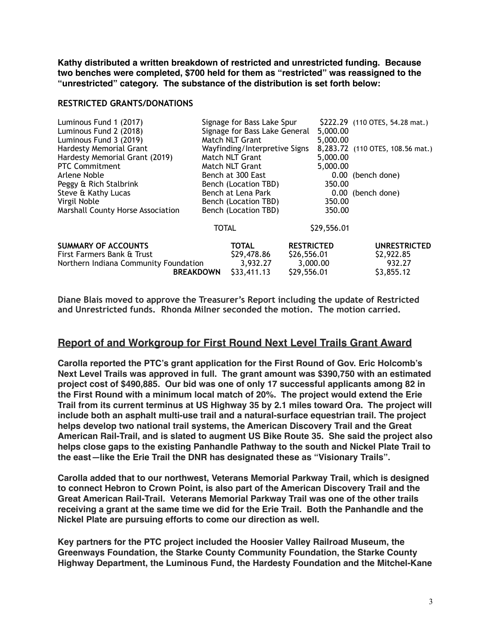**Kathy distributed a written breakdown of restricted and unrestricted funding. Because two benches were completed, \$700 held for them as "restricted" was reassigned to the "unrestricted" category. The substance of the distribution is set forth below:**

#### **RESTRICTED GRANTS/DONATIONS**

| Luminous Fund 1 (2017)<br>Luminous Fund 2 (2018)<br>Luminous Fund 3 (2019)                                            |       | Signage for Bass Lake Spur<br>Signage for Bass Lake General<br>Match NLT Grant |                                                             | 5,000.00<br>5,000.00 | \$222.29 (110 OTES, 54.28 mat.)                           |
|-----------------------------------------------------------------------------------------------------------------------|-------|--------------------------------------------------------------------------------|-------------------------------------------------------------|----------------------|-----------------------------------------------------------|
| <b>Hardesty Memorial Grant</b><br>Hardesty Memorial Grant (2019)<br><b>PTC Commitment</b>                             |       | Wayfinding/Interpretive Signs<br>Match NLT Grant<br>Match NLT Grant            |                                                             | 5,000.00<br>5,000.00 | 8,283.72 (110 OTES, 108.56 mat.)                          |
| Arlene Noble<br>Peggy & Rich Stalbrink                                                                                |       | Bench at 300 East<br>Bench (Location TBD)                                      |                                                             | 350.00               | 0.00 (bench done)                                         |
| Steve & Kathy Lucas<br>Virgil Noble<br>Marshall County Horse Association                                              |       | Bench at Lena Park<br>Bench (Location TBD)<br>Bench (Location TBD)             |                                                             | 350.00<br>350.00     | 0.00 (bench done)                                         |
|                                                                                                                       | TOTAL |                                                                                |                                                             | \$29,556.01          |                                                           |
| <b>SUMMARY OF ACCOUNTS</b><br>First Farmers Bank & Trust<br>Northern Indiana Community Foundation<br><b>BREAKDOWN</b> |       | TOTAL<br>\$29,478.86<br>3,932.27<br>\$33,411.13                                | <b>RESTRICTED</b><br>\$26,556.01<br>3,000.00<br>\$29,556.01 |                      | <b>UNRESTRICTED</b><br>\$2,922.85<br>932.27<br>\$3,855.12 |

**Diane Blais moved to approve the Treasurer's Report including the update of Restricted and Unrestricted funds. Rhonda Milner seconded the motion. The motion carried.** 

# **Report of and Workgroup for First Round Next Level Trails Grant Award**

**Carolla reported the PTC's grant application for the First Round of Gov. Eric Holcomb's Next Level Trails was approved in full. The grant amount was \$390,750 with an estimated project cost of \$490,885. Our bid was one of only 17 successful applicants among 82 in the First Round with a minimum local match of 20%. The project would extend the Erie Trail from its current terminus at US Highway 35 by 2.1 miles toward Ora. The project will include both an asphalt multi-use trail and a natural-surface equestrian trail. The project helps develop two national trail systems, the American Discovery Trail and the Great American Rail-Trail, and is slated to augment US Bike Route 35. She said the project also helps close gaps to the existing Panhandle Pathway to the south and Nickel Plate Trail to the east***—***like the Erie Trail the DNR has designated these as "Visionary Trails".**

**Carolla added that to our northwest, Veterans Memorial Parkway Trail, which is designed to connect Hebron to Crown Point, is also part of the American Discovery Trail and the Great American Rail-Trail. Veterans Memorial Parkway Trail was one of the other trails receiving a grant at the same time we did for the Erie Trail. Both the Panhandle and the Nickel Plate are pursuing efforts to come our direction as well.** 

**Key partners for the PTC project included the Hoosier Valley Railroad Museum, the Greenways Foundation, the Starke County Community Foundation, the Starke County Highway Department, the Luminous Fund, the Hardesty Foundation and the Mitchel-Kane**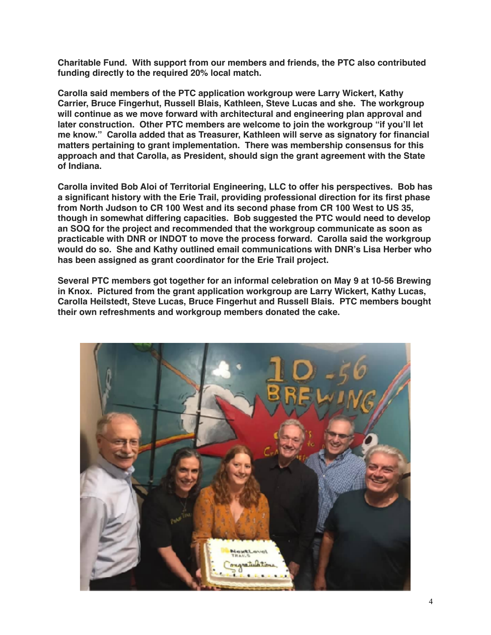**Charitable Fund. With support from our members and friends, the PTC also contributed funding directly to the required 20% local match.**

**Carolla said members of the PTC application workgroup were Larry Wickert, Kathy Carrier, Bruce Fingerhut, Russell Blais, Kathleen, Steve Lucas and she. The workgroup will continue as we move forward with architectural and engineering plan approval and later construction. Other PTC members are welcome to join the workgroup "if you'll let me know." Carolla added that as Treasurer, Kathleen will serve as signatory for financial matters pertaining to grant implementation. There was membership consensus for this approach and that Carolla, as President, should sign the grant agreement with the State of Indiana.**

**Carolla invited Bob Aloi of Territorial Engineering, LLC to offer his perspectives. Bob has a significant history with the Erie Trail, providing professional direction for its first phase from North Judson to CR 100 West and its second phase from CR 100 West to US 35, though in somewhat differing capacities. Bob suggested the PTC would need to develop an SOQ for the project and recommended that the workgroup communicate as soon as practicable with DNR or INDOT to move the process forward. Carolla said the workgroup would do so. She and Kathy outlined email communications with DNR's Lisa Herber who has been assigned as grant coordinator for the Erie Trail project.**

**Several PTC members got together for an informal celebration on May 9 at 10-56 Brewing in Knox. Pictured from the grant application workgroup are Larry Wickert, Kathy Lucas, Carolla Heilstedt, Steve Lucas, Bruce Fingerhut and Russell Blais. PTC members bought their own refreshments and workgroup members donated the cake.**

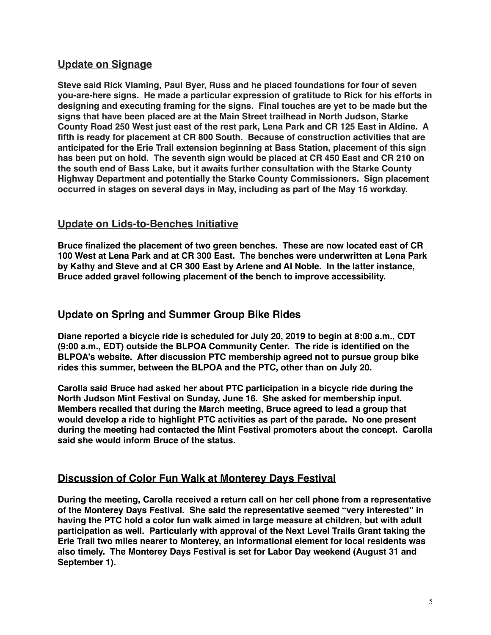# **Update on Signage**

**Steve said Rick Vlaming, Paul Byer, Russ and he placed foundations for four of seven you-are-here signs. He made a particular expression of gratitude to Rick for his efforts in designing and executing framing for the signs. Final touches are yet to be made but the signs that have been placed are at the Main Street trailhead in North Judson, Starke County Road 250 West just east of the rest park, Lena Park and CR 125 East in Aldine. A fifth is ready for placement at CR 800 South. Because of construction activities that are anticipated for the Erie Trail extension beginning at Bass Station, placement of this sign has been put on hold. The seventh sign would be placed at CR 450 East and CR 210 on the south end of Bass Lake, but it awaits further consultation with the Starke County Highway Department and potentially the Starke County Commissioners. Sign placement occurred in stages on several days in May, including as part of the May 15 workday.**

# **Update on Lids-to-Benches Initiative**

**Bruce finalized the placement of two green benches. These are now located east of CR 100 West at Lena Park and at CR 300 East. The benches were underwritten at Lena Park by Kathy and Steve and at CR 300 East by Arlene and Al Noble. In the latter instance, Bruce added gravel following placement of the bench to improve accessibility.**

# **Update on Spring and Summer Group Bike Rides**

**Diane reported a bicycle ride is scheduled for July 20, 2019 to begin at 8:00 a.m., CDT (9:00 a.m., EDT) outside the BLPOA Community Center. The ride is identified on the BLPOA's website. After discussion PTC membership agreed not to pursue group bike rides this summer, between the BLPOA and the PTC, other than on July 20.**

**Carolla said Bruce had asked her about PTC participation in a bicycle ride during the North Judson Mint Festival on Sunday, June 16. She asked for membership input. Members recalled that during the March meeting, Bruce agreed to lead a group that would develop a ride to highlight PTC activities as part of the parade. No one present during the meeting had contacted the Mint Festival promoters about the concept. Carolla said she would inform Bruce of the status.**

# **Discussion of Color Fun Walk at Monterey Days Festival**

**During the meeting, Carolla received a return call on her cell phone from a representative of the Monterey Days Festival. She said the representative seemed "very interested" in having the PTC hold a color fun walk aimed in large measure at children, but with adult participation as well. Particularly with approval of the Next Level Trails Grant taking the Erie Trail two miles nearer to Monterey, an informational element for local residents was also timely. The Monterey Days Festival is set for Labor Day weekend (August 31 and September 1).**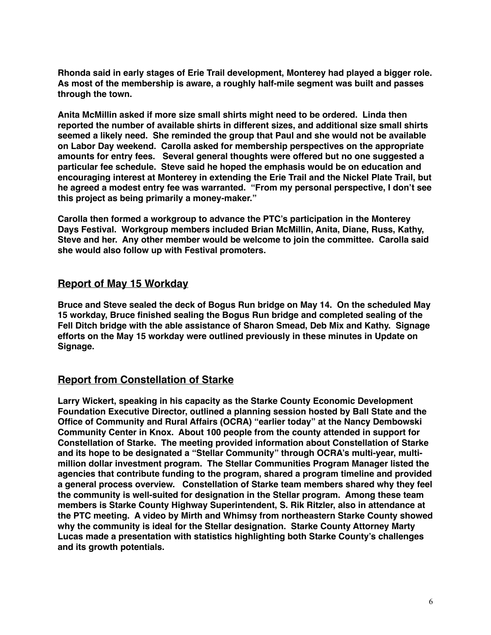**Rhonda said in early stages of Erie Trail development, Monterey had played a bigger role. As most of the membership is aware, a roughly half-mile segment was built and passes through the town.**

**Anita McMillin asked if more size small shirts might need to be ordered. Linda then reported the number of available shirts in different sizes, and additional size small shirts seemed a likely need. She reminded the group that Paul and she would not be available on Labor Day weekend. Carolla asked for membership perspectives on the appropriate amounts for entry fees. Several general thoughts were offered but no one suggested a particular fee schedule. Steve said he hoped the emphasis would be on education and encouraging interest at Monterey in extending the Erie Trail and the Nickel Plate Trail, but he agreed a modest entry fee was warranted. "From my personal perspective, I don't see this project as being primarily a money-maker."**

**Carolla then formed a workgroup to advance the PTC's participation in the Monterey Days Festival. Workgroup members included Brian McMillin, Anita, Diane, Russ, Kathy, Steve and her. Any other member would be welcome to join the committee. Carolla said she would also follow up with Festival promoters.**

# **Report of May 15 Workday**

**Bruce and Steve sealed the deck of Bogus Run bridge on May 14. On the scheduled May 15 workday, Bruce finished sealing the Bogus Run bridge and completed sealing of the Fell Ditch bridge with the able assistance of Sharon Smead, Deb Mix and Kathy. Signage efforts on the May 15 workday were outlined previously in these minutes in Update on Signage.**

# **Report from Constellation of Starke**

**Larry Wickert, speaking in his capacity as the Starke County Economic Development Foundation Executive Director, outlined a planning session hosted by Ball State and the Office of Community and Rural Affairs (OCRA) "earlier today" at the Nancy Dembowski Community Center in Knox. About 100 people from the county attended in support for Constellation of Starke. The meeting provided information about Constellation of Starke and its hope to be designated a "Stellar Community" through OCRA's multi-year, multimillion dollar investment program. The Stellar Communities Program Manager listed the agencies that contribute funding to the program, shared a program timeline and provided a general process overview. Constellation of Starke team members shared why they feel the community is well-suited for designation in the Stellar program. Among these team members is Starke County Highway Superintendent, S. Rik Ritzler, also in attendance at the PTC meeting. A video by Mirth and Whimsy from northeastern Starke County showed why the community is ideal for the Stellar designation. Starke County Attorney Marty Lucas made a presentation with statistics highlighting both Starke County's challenges and its growth potentials.**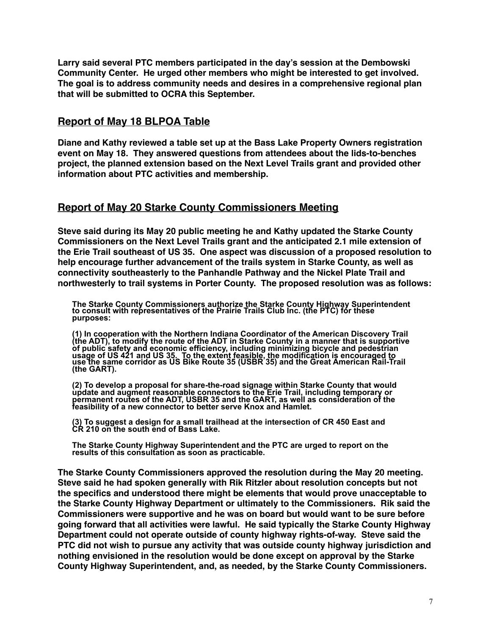**Larry said several PTC members participated in the day's session at the Dembowski Community Center. He urged other members who might be interested to get involved. The goal is to address community needs and desires in a comprehensive regional plan that will be submitted to OCRA this September.**

# **Report of May 18 BLPOA Table**

**Diane and Kathy reviewed a table set up at the Bass Lake Property Owners registration event on May 18. They answered questions from attendees about the lids-to-benches project, the planned extension based on the Next Level Trails grant and provided other information about PTC activities and membership.**

# **Report of May 20 Starke County Commissioners Meeting**

**Steve said during its May 20 public meeting he and Kathy updated the Starke County Commissioners on the Next Level Trails grant and the anticipated 2.1 mile extension of the Erie Trail southeast of US 35. One aspect was discussion of a proposed resolution to help encourage further advancement of the trails system in Starke County, as well as connectivity southeasterly to the Panhandle Pathway and the Nickel Plate Trail and northwesterly to trail systems in Porter County. The proposed resolution was as follows:**

**The Starke County Commissioners authorize the Starke County Highway Superintendent to consult with representatives of the Prairie Trails Club Inc. (the PTC) for these purposes:** 

**(1) In cooperation with the Northern Indiana Coordinator of the American Discovery Trail (the ADT), to modify the route of the ADT in Starke County in a manner that is supportive of public safety and economic efficiency, including minimizing bicycle and pedestrian usage of US 421 and US 35. To the extent feasible, the modification is encouraged to use the same corridor as US Bike Route 35 (USBR 35) and the Great American Rail-Trail (the GART).** 

**(2) To develop a proposal for share-the-road signage within Starke County that would update and augment reasonable connectors to the Erie Trail, including temporary or permanent routes of the ADT, USBR 35 and the GART, as well as consideration of the feasibility of a new connector to better serve Knox and Hamlet.** 

**(3) To suggest a design for a small trailhead at the intersection of CR 450 East and CR 210 on the south end of Bass Lake.** 

**The Starke County Highway Superintendent and the PTC are urged to report on the results of this consultation as soon as practicable.** 

**The Starke County Commissioners approved the resolution during the May 20 meeting. Steve said he had spoken generally with Rik Ritzler about resolution concepts but not the specifics and understood there might be elements that would prove unacceptable to the Starke County Highway Department or ultimately to the Commissioners. Rik said the Commissioners were supportive and he was on board but would want to be sure before going forward that all activities were lawful. He said typically the Starke County Highway Department could not operate outside of county highway rights-of-way. Steve said the PTC did not wish to pursue any activity that was outside county highway jurisdiction and nothing envisioned in the resolution would be done except on approval by the Starke County Highway Superintendent, and, as needed, by the Starke County Commissioners.**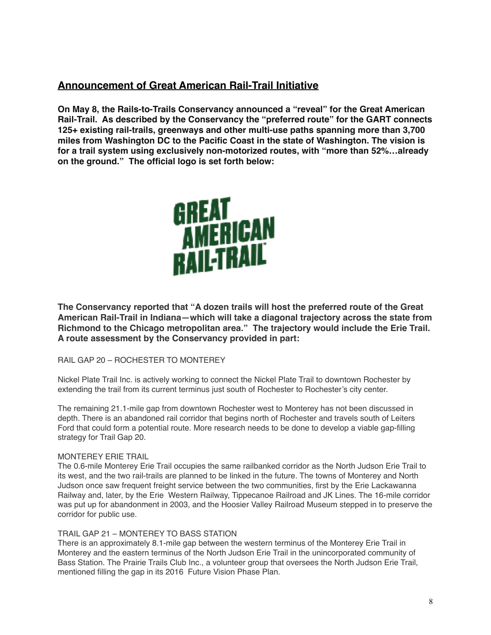# **Announcement of Great American Rail-Trail Initiative**

**On May 8, the Rails-to-Trails Conservancy announced a "reveal" for the Great American Rail-Trail. As described by the Conservancy the "preferred route" for the GART connects 125+ existing rail-trails, greenways and other multi-use paths spanning more than 3,700 miles from Washington DC to the Pacific Coast in the state of Washington. The vision is for a trail system using exclusively non-motorized routes, with "more than 52%…already on the ground." The official logo is set forth below:**



**The Conservancy reported that "A dozen trails will host the preferred route of the Great American Rail-Trail in Indiana—which will take a diagonal trajectory across the state from Richmond to the Chicago metropolitan area." The trajectory would include the Erie Trail. A route assessment by the Conservancy provided in part:**

## RAIL GAP 20 – ROCHESTER TO MONTEREY

Nickel Plate Trail Inc. is actively working to connect the Nickel Plate Trail to downtown Rochester by extending the trail from its current terminus just south of Rochester to Rochester's city center.

The remaining 21.1-mile gap from downtown Rochester west to Monterey has not been discussed in depth. There is an abandoned rail corridor that begins north of Rochester and travels south of Leiters Ford that could form a potential route. More research needs to be done to develop a viable gap-filling strategy for Trail Gap 20.

## MONTEREY ERIE TRAIL

The 0.6-mile Monterey Erie Trail occupies the same railbanked corridor as the North Judson Erie Trail to its west, and the two rail-trails are planned to be linked in the future. The towns of Monterey and North Judson once saw frequent freight service between the two communities, first by the Erie Lackawanna Railway and, later, by the Erie Western Railway, Tippecanoe Railroad and JK Lines. The 16-mile corridor was put up for abandonment in 2003, and the Hoosier Valley Railroad Museum stepped in to preserve the corridor for public use.

#### TRAIL GAP 21 – MONTEREY TO BASS STATION

There is an approximately 8.1-mile gap between the western terminus of the Monterey Erie Trail in Monterey and the eastern terminus of the North Judson Erie Trail in the unincorporated community of Bass Station. The Prairie Trails Club Inc., a volunteer group that oversees the North Judson Erie Trail, mentioned filling the gap in its 2016 Future Vision Phase Plan.